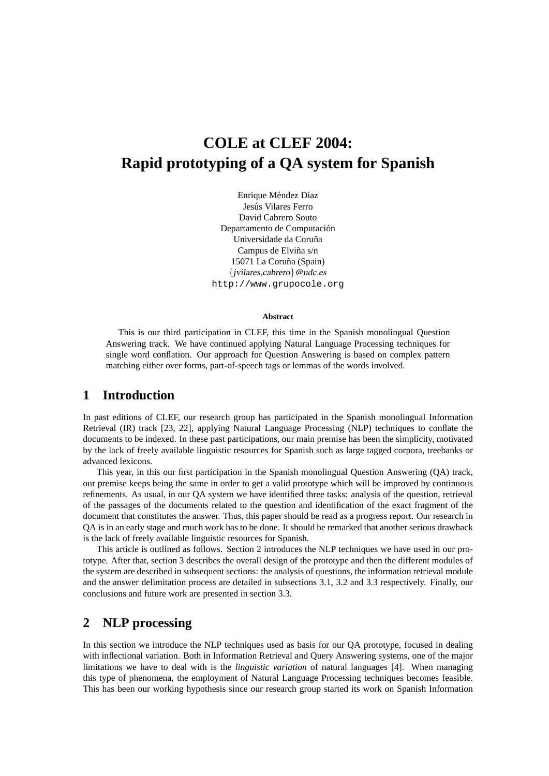# **COLE at CLEF 2004: Rapid prototyping of a QA system for Spanish**

Enrique Méndez Díaz Jesús Vilares Ferro David Cabrero Souto Departamento de Computación Universidade da Coruña Campus de Elviña s/n 15071 La Coruña (Spain) {jvilares,cabrero}@udc.es http://www.grupocole.org

#### **Abstract**

This is our third participation in CLEF, this time in the Spanish monolingual Question Answering track. We have continued applying Natural Language Processing techniques for single word conflation. Our approach for Question Answering is based on complex pattern matching either over forms, part-of-speech tags or lemmas of the words involved.

# **1 Introduction**

In past editions of CLEF, our research group has participated in the Spanish monolingual Information Retrieval (IR) track [23, 22], applying Natural Language Processing (NLP) techniques to conflate the documents to be indexed. In these past participations, our main premise has been the simplicity, motivated by the lack of freely available linguistic resources for Spanish such as large tagged corpora, treebanks or advanced lexicons.

This year, in this our first participation in the Spanish monolingual Question Answering (QA) track, our premise keeps being the same in order to get a valid prototype which will be improved by continuous refinements. As usual, in our QA system we have identified three tasks: analysis of the question, retrieval of the passages of the documents related to the question and identification of the exact fragment of the document that constitutes the answer. Thus, this paper should be read as a progress report. Our research in QA is in an early stage and much work has to be done. It should be remarked that another serious drawback is the lack of freely available linguistic resources for Spanish.

This article is outlined as follows. Section 2 introduces the NLP techniques we have used in our prototype. After that, section 3 describes the overall design of the prototype and then the different modules of the system are described in subsequent sections: the analysis of questions, the information retrieval module and the answer delimitation process are detailed in subsections 3.1, 3.2 and 3.3 respectively. Finally, our conclusions and future work are presented in section 3.3.

## **2 NLP processing**

In this section we introduce the NLP techniques used as basis for our QA prototype, focused in dealing with inflectional variation. Both in Information Retrieval and Query Answering systems, one of the major limitations we have to deal with is the *linguistic variation* of natural languages [4]. When managing this type of phenomena, the employment of Natural Language Processing techniques becomes feasible. This has been our working hypothesis since our research group started its work on Spanish Information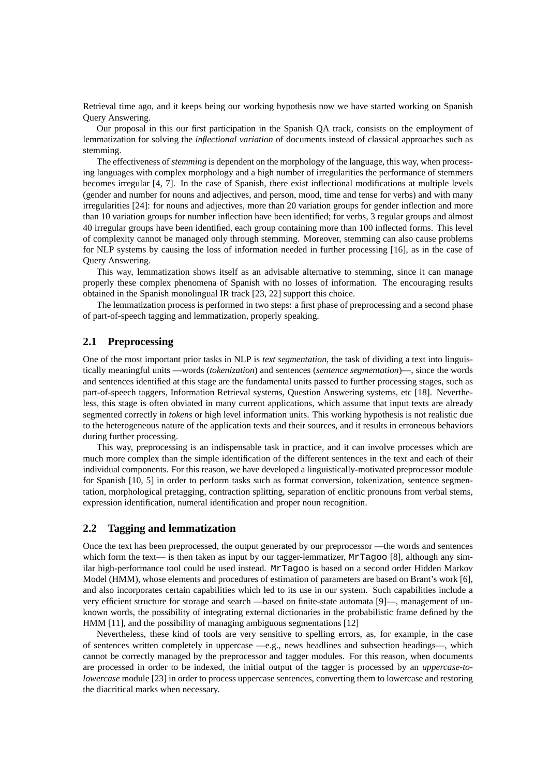Retrieval time ago, and it keeps being our working hypothesis now we have started working on Spanish Query Answering.

Our proposal in this our first participation in the Spanish QA track, consists on the employment of lemmatization for solving the *inflectional variation* of documents instead of classical approaches such as stemming.

The effectiveness of *stemming* is dependent on the morphology of the language, this way, when processing languages with complex morphology and a high number of irregularities the performance of stemmers becomes irregular [4, 7]. In the case of Spanish, there exist inflectional modifications at multiple levels (gender and number for nouns and adjectives, and person, mood, time and tense for verbs) and with many irregularities [24]: for nouns and adjectives, more than 20 variation groups for gender inflection and more than 10 variation groups for number inflection have been identified; for verbs, 3 regular groups and almost 40 irregular groups have been identified, each group containing more than 100 inflected forms. This level of complexity cannot be managed only through stemming. Moreover, stemming can also cause problems for NLP systems by causing the loss of information needed in further processing [16], as in the case of Query Answering.

This way, lemmatization shows itself as an advisable alternative to stemming, since it can manage properly these complex phenomena of Spanish with no losses of information. The encouraging results obtained in the Spanish monolingual IR track [23, 22] support this choice.

The lemmatization process is performed in two steps: a first phase of preprocessing and a second phase of part-of-speech tagging and lemmatization, properly speaking.

### **2.1 Preprocessing**

One of the most important prior tasks in NLP is *text segmentation*, the task of dividing a text into linguistically meaningful units —words (*tokenization*) and sentences (*sentence segmentation*)—, since the words and sentences identified at this stage are the fundamental units passed to further processing stages, such as part-of-speech taggers, Information Retrieval systems, Question Answering systems, etc [18]. Nevertheless, this stage is often obviated in many current applications, which assume that input texts are already segmented correctly in *tokens* or high level information units. This working hypothesis is not realistic due to the heterogeneous nature of the application texts and their sources, and it results in erroneous behaviors during further processing.

This way, preprocessing is an indispensable task in practice, and it can involve processes which are much more complex than the simple identification of the different sentences in the text and each of their individual components. For this reason, we have developed a linguistically-motivated preprocessor module for Spanish [10, 5] in order to perform tasks such as format conversion, tokenization, sentence segmentation, morphological pretagging, contraction splitting, separation of enclitic pronouns from verbal stems, expression identification, numeral identification and proper noun recognition.

#### **2.2 Tagging and lemmatization**

Once the text has been preprocessed, the output generated by our preprocessor —the words and sentences which form the text— is then taken as input by our tagger-lemmatizer, MrTagoo [8], although any similar high-performance tool could be used instead. MrTagoo is based on a second order Hidden Markov Model (HMM), whose elements and procedures of estimation of parameters are based on Brant's work [6], and also incorporates certain capabilities which led to its use in our system. Such capabilities include a very efficient structure for storage and search —based on finite-state automata [9]—, management of unknown words, the possibility of integrating external dictionaries in the probabilistic frame defined by the HMM [11], and the possibility of managing ambiguous segmentations [12]

Nevertheless, these kind of tools are very sensitive to spelling errors, as, for example, in the case of sentences written completely in uppercase —e.g., news headlines and subsection headings—, which cannot be correctly managed by the preprocessor and tagger modules. For this reason, when documents are processed in order to be indexed, the initial output of the tagger is processed by an *uppercase-tolowercase* module [23] in order to process uppercase sentences, converting them to lowercase and restoring the diacritical marks when necessary.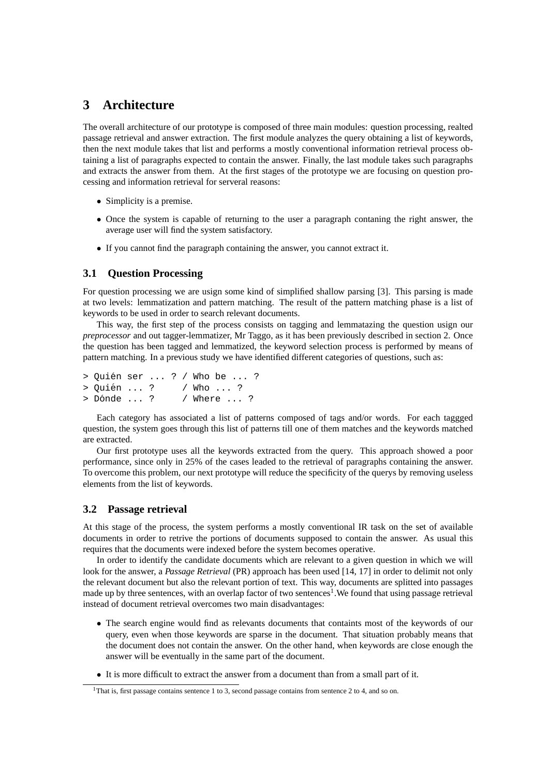# **3 Architecture**

The overall architecture of our prototype is composed of three main modules: question processing, realted passage retrieval and answer extraction. The first module analyzes the query obtaining a list of keywords, then the next module takes that list and performs a mostly conventional information retrieval process obtaining a list of paragraphs expected to contain the answer. Finally, the last module takes such paragraphs and extracts the answer from them. At the first stages of the prototype we are focusing on question processing and information retrieval for serveral reasons:

- Simplicity is a premise.
- Once the system is capable of returning to the user a paragraph contaning the right answer, the average user will find the system satisfactory.
- If you cannot find the paragraph containing the answer, you cannot extract it.

#### **3.1 Question Processing**

For question processing we are usign some kind of simplified shallow parsing [3]. This parsing is made at two levels: lemmatization and pattern matching. The result of the pattern matching phase is a list of keywords to be used in order to search relevant documents.

This way, the first step of the process consists on tagging and lemmatazing the question usign our *preprocessor* and out tagger-lemmatizer, Mr Taggo, as it has been previously described in section 2. Once the question has been tagged and lemmatized, the keyword selection process is performed by means of pattern matching. In a previous study we have identified different categories of questions, such as:

```
> Quién ser ... ? / Who be ... ?
> Ouién ... ? / Who ... ?
> D´onde ... ? / Where ... ?
```
Each category has associated a list of patterns composed of tags and/or words. For each taggged question, the system goes through this list of patterns till one of them matches and the keywords matched are extracted.

Our first prototype uses all the keywords extracted from the query. This approach showed a poor performance, since only in 25% of the cases leaded to the retrieval of paragraphs containing the answer. To overcome this problem, our next prototype will reduce the specificity of the querys by removing useless elements from the list of keywords.

#### **3.2 Passage retrieval**

At this stage of the process, the system performs a mostly conventional IR task on the set of available documents in order to retrive the portions of documents supposed to contain the answer. As usual this requires that the documents were indexed before the system becomes operative.

In order to identify the candidate documents which are relevant to a given question in which we will look for the answer, a *Passage Retrieval* (PR) approach has been used [14, 17] in order to delimit not only the relevant document but also the relevant portion of text. This way, documents are splitted into passages made up by three sentences, with an overlap factor of two sentences<sup>1</sup>. We found that using passage retrieval instead of document retrieval overcomes two main disadvantages:

- The search engine would find as relevants documents that containts most of the keywords of our query, even when those keywords are sparse in the document. That situation probably means that the document does not contain the answer. On the other hand, when keywords are close enough the answer will be eventually in the same part of the document.
- It is more difficult to extract the answer from a document than from a small part of it.

<sup>&</sup>lt;sup>1</sup>That is, first passage contains sentence 1 to 3, second passage contains from sentence 2 to 4, and so on.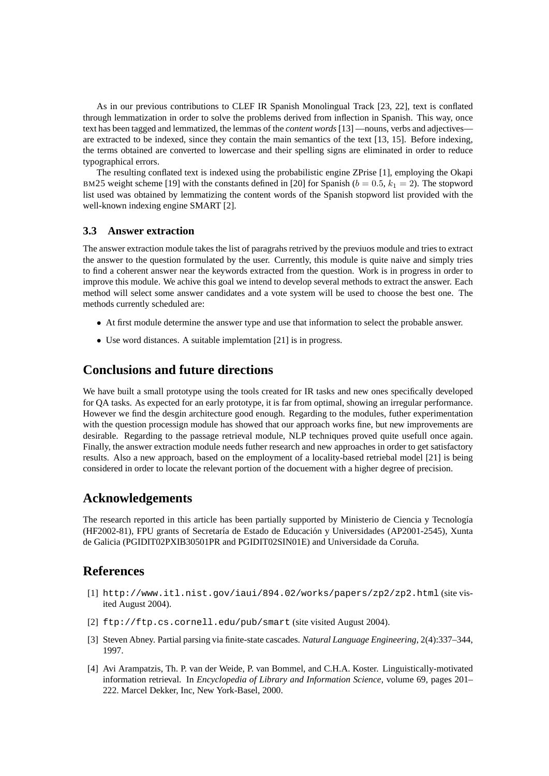As in our previous contributions to CLEF IR Spanish Monolingual Track [23, 22], text is conflated through lemmatization in order to solve the problems derived from inflection in Spanish. This way, once text has been tagged and lemmatized, the lemmas of the *content words*[13] —nouns, verbs and adjectives are extracted to be indexed, since they contain the main semantics of the text [13, 15]. Before indexing, the terms obtained are converted to lowercase and their spelling signs are eliminated in order to reduce typographical errors.

The resulting conflated text is indexed using the probabilistic engine ZPrise [1], employing the Okapi BM25 weight scheme [19] with the constants defined in [20] for Spanish ( $b = 0.5$ ,  $k_1 = 2$ ). The stopword list used was obtained by lemmatizing the content words of the Spanish stopword list provided with the well-known indexing engine SMART [2].

#### **3.3 Answer extraction**

The answer extraction module takes the list of paragrahs retrived by the previuos module and tries to extract the answer to the question formulated by the user. Currently, this module is quite naive and simply tries to find a coherent answer near the keywords extracted from the question. Work is in progress in order to improve this module. We achive this goal we intend to develop several methods to extract the answer. Each method will select some answer candidates and a vote system will be used to choose the best one. The methods currently scheduled are:

- At first module determine the answer type and use that information to select the probable answer.
- Use word distances. A suitable implemtation [21] is in progress.

# **Conclusions and future directions**

We have built a small prototype using the tools created for IR tasks and new ones specifically developed for QA tasks. As expected for an early prototype, it is far from optimal, showing an irregular performance. However we find the desgin architecture good enough. Regarding to the modules, futher experimentation with the question processign module has showed that our approach works fine, but new improvements are desirable. Regarding to the passage retrieval module, NLP techniques proved quite usefull once again. Finally, the answer extraction module needs futher research and new approaches in order to get satisfactory results. Also a new approach, based on the employment of a locality-based retriebal model [21] is being considered in order to locate the relevant portion of the docuement with a higher degree of precision.

## **Acknowledgements**

The research reported in this article has been partially supported by Ministerio de Ciencia y Tecnología (HF2002-81), FPU grants of Secretaría de Estado de Educación y Universidades (AP2001-2545), Xunta de Galicia (PGIDIT02PXIB30501PR and PGIDIT02SIN01E) and Universidade da Coruña.

## **References**

- [1] http://www.itl.nist.gov/iaui/894.02/works/papers/zp2/zp2.html (site visited August 2004).
- [2] ftp://ftp.cs.cornell.edu/pub/smart (site visited August 2004).
- [3] Steven Abney. Partial parsing via finite-state cascades. *Natural Language Engineering*, 2(4):337–344, 1997.
- [4] Avi Arampatzis, Th. P. van der Weide, P. van Bommel, and C.H.A. Koster. Linguistically-motivated information retrieval. In *Encyclopedia of Library and Information Science*, volume 69, pages 201– 222. Marcel Dekker, Inc, New York-Basel, 2000.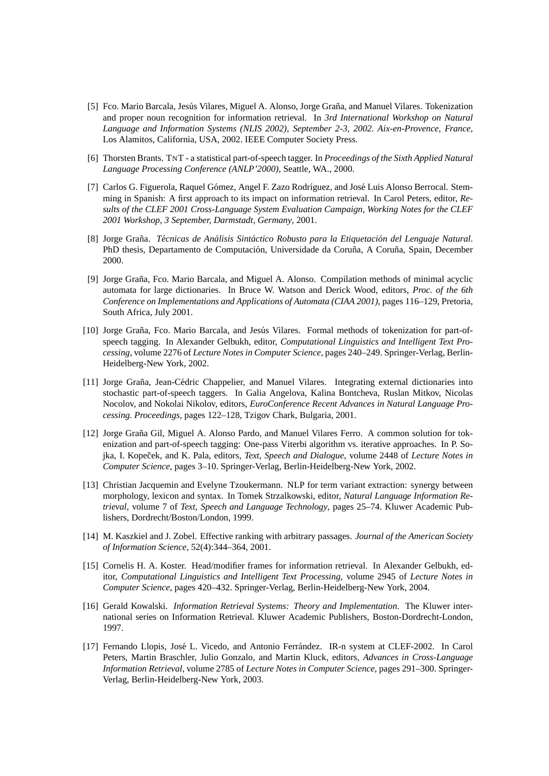- [5] Fco. Mario Barcala, Jesús Vilares, Miguel A. Alonso, Jorge Graña, and Manuel Vilares. Tokenization and proper noun recognition for information retrieval. In *3rd International Workshop on Natural Language and Information Systems (NLIS 2002), September 2-3, 2002. Aix-en-Provence, France*, Los Alamitos, California, USA, 2002. IEEE Computer Society Press.
- [6] Thorsten Brants. TNT a statistical part-of-speech tagger. In *Proceedings of the Sixth Applied Natural Language Processing Conference (ANLP'2000)*, Seattle, WA., 2000.
- [7] Carlos G. Figuerola, Raquel Gómez, Angel F. Zazo Rodríguez, and José Luis Alonso Berrocal. Stemming in Spanish: A first approach to its impact on information retrieval. In Carol Peters, editor, *Results of the CLEF 2001 Cross-Language System Evaluation Campaign, Working Notes for the CLEF 2001 Workshop, 3 September, Darmstadt, Germany*, 2001.
- [8] Jorge Grana. ˜ *Tecnicas de An ´ alisis Sint ´ actico Robusto para la Etiquetaci ´ on del Lenguaje Natural ´* . PhD thesis, Departamento de Computación, Universidade da Coruña, A Coruña, Spain, December 2000.
- [9] Jorge Graña, Fco. Mario Barcala, and Miguel A. Alonso. Compilation methods of minimal acyclic automata for large dictionaries. In Bruce W. Watson and Derick Wood, editors, *Proc. of the 6th Conference on Implementations and Applications of Automata (CIAA 2001)*, pages 116–129, Pretoria, South Africa, July 2001.
- [10] Jorge Graña, Fco. Mario Barcala, and Jesús Vilares. Formal methods of tokenization for part-ofspeech tagging. In Alexander Gelbukh, editor, *Computational Linguistics and Intelligent Text Processing*, volume 2276 of *Lecture Notes in Computer Science*, pages 240–249. Springer-Verlag, Berlin-Heidelberg-New York, 2002.
- [11] Jorge Graña, Jean-Cédric Chappelier, and Manuel Vilares. Integrating external dictionaries into stochastic part-of-speech taggers. In Galia Angelova, Kalina Bontcheva, Ruslan Mitkov, Nicolas Nocolov, and Nokolai Nikolov, editors, *EuroConference Recent Advances in Natural Language Processing. Proceedings*, pages 122–128, Tzigov Chark, Bulgaria, 2001.
- [12] Jorge Graña Gil, Miguel A. Alonso Pardo, and Manuel Vilares Ferro. A common solution for tokenization and part-of-speech tagging: One-pass Viterbi algorithm vs. iterative approaches. In P. Sojka, I. Kopeček, and K. Pala, editors, *Text, Speech and Dialogue*, volume 2448 of *Lecture Notes in Computer Science*, pages 3–10. Springer-Verlag, Berlin-Heidelberg-New York, 2002.
- [13] Christian Jacquemin and Evelyne Tzoukermann. NLP for term variant extraction: synergy between morphology, lexicon and syntax. In Tomek Strzalkowski, editor, *Natural Language Information Retrieval*, volume 7 of *Text, Speech and Language Technology*, pages 25–74. Kluwer Academic Publishers, Dordrecht/Boston/London, 1999.
- [14] M. Kaszkiel and J. Zobel. Effective ranking with arbitrary passages. *Journal of the American Society of Information Science*, 52(4):344–364, 2001.
- [15] Cornelis H. A. Koster. Head/modifier frames for information retrieval. In Alexander Gelbukh, editor, *Computational Linguistics and Intelligent Text Processing*, volume 2945 of *Lecture Notes in Computer Science*, pages 420–432. Springer-Verlag, Berlin-Heidelberg-New York, 2004.
- [16] Gerald Kowalski. *Information Retrieval Systems: Theory and Implementation*. The Kluwer international series on Information Retrieval. Kluwer Academic Publishers, Boston-Dordrecht-London, 1997.
- [17] Fernando Llopis, José L. Vicedo, and Antonio Ferrández. IR-n system at CLEF-2002. In Carol Peters, Martin Braschler, Julio Gonzalo, and Martin Kluck, editors, *Advances in Cross-Language Information Retrieval*, volume 2785 of *Lecture Notes in Computer Science*, pages 291–300. Springer-Verlag, Berlin-Heidelberg-New York, 2003.